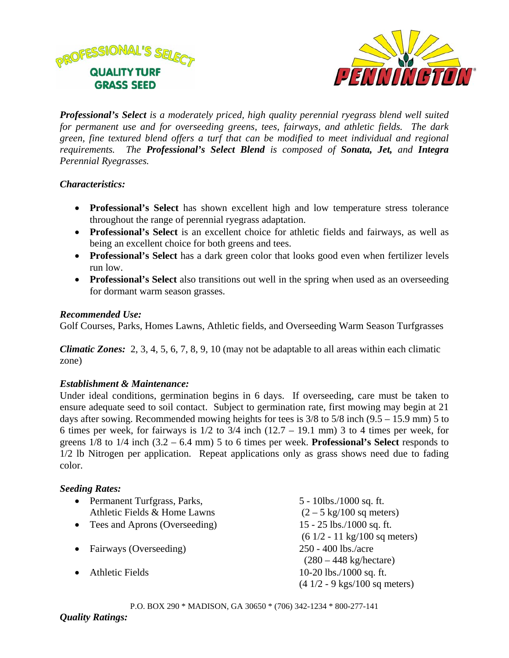



*Professional's Select is a moderately priced, high quality perennial ryegrass blend well suited for permanent use and for overseeding greens, tees, fairways, and athletic fields. The dark green, fine textured blend offers a turf that can be modified to meet individual and regional requirements. The Professional's Select Blend is composed of Sonata, Jet, and Integra Perennial Ryegrasses.* 

## *Characteristics:*

- **Professional's Select** has shown excellent high and low temperature stress tolerance throughout the range of perennial ryegrass adaptation.
- **Professional's Select** is an excellent choice for athletic fields and fairways, as well as being an excellent choice for both greens and tees.
- **Professional's Select** has a dark green color that looks good even when fertilizer levels run low.
- **Professional's Select** also transitions out well in the spring when used as an overseeding for dormant warm season grasses.

### *Recommended Use:*

Golf Courses, Parks, Homes Lawns, Athletic fields, and Overseeding Warm Season Turfgrasses

*Climatic Zones:* 2, 3, 4, 5, 6, 7, 8, 9, 10 (may not be adaptable to all areas within each climatic zone)

# *Establishment & Maintenance:*

Under ideal conditions, germination begins in 6 days. If overseeding, care must be taken to ensure adequate seed to soil contact. Subject to germination rate, first mowing may begin at 21 days after sowing. Recommended mowing heights for tees is 3/8 to 5/8 inch (9.5 – 15.9 mm) 5 to 6 times per week, for fairways is  $1/2$  to  $3/4$  inch  $(12.7 - 19.1$  mm) 3 to 4 times per week, for greens 1/8 to 1/4 inch (3.2 – 6.4 mm) 5 to 6 times per week. **Professional's Select** responds to 1/2 lb Nitrogen per application. Repeat applications only as grass shows need due to fading color.

# *Seeding Rates:*

| $\bullet$ | Permanent Turfgrass, Parks,     | $5 - 10$ lbs./1000 sq. ft.                     |
|-----------|---------------------------------|------------------------------------------------|
|           | Athletic Fields & Home Lawns    | $(2 - 5 \text{ kg}/100 \text{ sq meters})$     |
|           | • Tees and Aprons (Overseeding) | $15 - 25$ lbs./1000 sq. ft.                    |
|           |                                 | $(61/2 - 11 \text{ kg}/100 \text{ sq meters})$ |
|           | • Fairways (Overseeding)        | 250 - 400 lbs./acre                            |
|           |                                 | (280 – 448 kg/hectar)                          |
|           | <b>Athletic Fields</b>          | $10-20$ lbs./1000 sq. ft.                      |
|           |                                 | $(41/2 - 9$ kgs/100 sq meters)                 |
|           |                                 |                                                |

P.O. BOX 290 \* MADISON, GA 30650 \* (706) 342-1234 \* 800-277-141